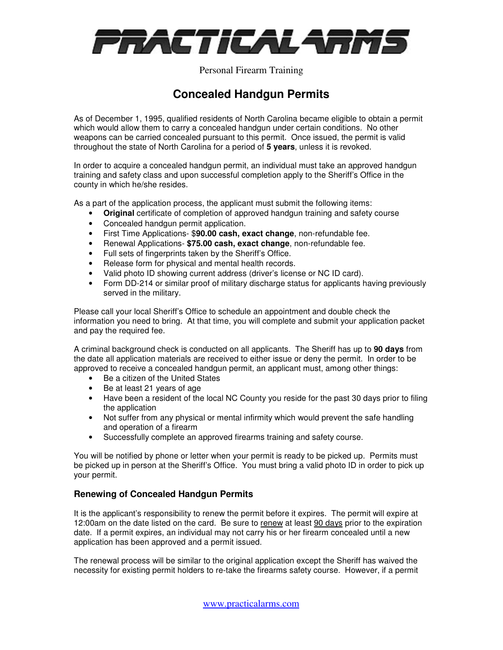

Personal Firearm Training

# **Concealed Handgun Permits**

As of December 1, 1995, qualified residents of North Carolina became eligible to obtain a permit which would allow them to carry a concealed handgun under certain conditions. No other weapons can be carried concealed pursuant to this permit. Once issued, the permit is valid throughout the state of North Carolina for a period of **5 years**, unless it is revoked.

In order to acquire a concealed handgun permit, an individual must take an approved handgun training and safety class and upon successful completion apply to the Sheriff's Office in the county in which he/she resides.

As a part of the application process, the applicant must submit the following items:

- **Original** certificate of completion of approved handgun training and safety course
- Concealed handgun permit application.
- First Time Applications- \$**90.00 cash, exact change**, non-refundable fee.
- Renewal Applications- **\$75.00 cash, exact change**, non-refundable fee.
- Full sets of fingerprints taken by the Sheriff's Office.
- Release form for physical and mental health records.
- Valid photo ID showing current address (driver's license or NC ID card).
- Form DD-214 or similar proof of military discharge status for applicants having previously served in the military.

Please call your local Sheriff's Office to schedule an appointment and double check the information you need to bring. At that time, you will complete and submit your application packet and pay the required fee.

A criminal background check is conducted on all applicants. The Sheriff has up to **90 days** from the date all application materials are received to either issue or deny the permit. In order to be approved to receive a concealed handgun permit, an applicant must, among other things:

- Be a citizen of the United States
- Be at least 21 years of age
- Have been a resident of the local NC County you reside for the past 30 days prior to filing the application
- Not suffer from any physical or mental infirmity which would prevent the safe handling and operation of a firearm
- Successfully complete an approved firearms training and safety course.

You will be notified by phone or letter when your permit is ready to be picked up. Permits must be picked up in person at the Sheriff's Office. You must bring a valid photo ID in order to pick up your permit.

#### **Renewing of Concealed Handgun Permits**

It is the applicant's responsibility to renew the permit before it expires. The permit will expire at 12:00am on the date listed on the card. Be sure to renew at least 90 days prior to the expiration date. If a permit expires, an individual may not carry his or her firearm concealed until a new application has been approved and a permit issued.

The renewal process will be similar to the original application except the Sheriff has waived the necessity for existing permit holders to re-take the firearms safety course. However, if a permit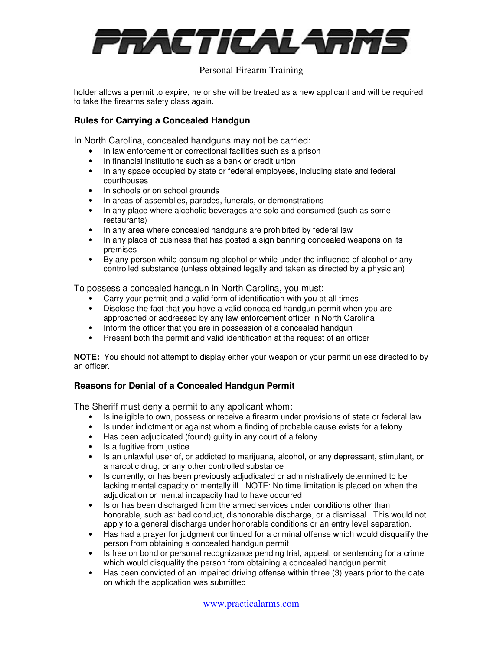

## Personal Firearm Training

holder allows a permit to expire, he or she will be treated as a new applicant and will be required to take the firearms safety class again.

#### **Rules for Carrying a Concealed Handgun**

In North Carolina, concealed handguns may not be carried:

- In law enforcement or correctional facilities such as a prison
- In financial institutions such as a bank or credit union
- In any space occupied by state or federal employees, including state and federal courthouses
- In schools or on school grounds
- In areas of assemblies, parades, funerals, or demonstrations
- In any place where alcoholic beverages are sold and consumed (such as some restaurants)
- In any area where concealed handguns are prohibited by federal law
- In any place of business that has posted a sign banning concealed weapons on its premises
- By any person while consuming alcohol or while under the influence of alcohol or any controlled substance (unless obtained legally and taken as directed by a physician)

To possess a concealed handgun in North Carolina, you must:

- Carry your permit and a valid form of identification with you at all times
- Disclose the fact that you have a valid concealed handgun permit when you are approached or addressed by any law enforcement officer in North Carolina
- Inform the officer that you are in possession of a concealed handgun
- Present both the permit and valid identification at the request of an officer

**NOTE:** You should not attempt to display either your weapon or your permit unless directed to by an officer.

#### **Reasons for Denial of a Concealed Handgun Permit**

The Sheriff must deny a permit to any applicant whom:

- Is ineligible to own, possess or receive a firearm under provisions of state or federal law
- Is under indictment or against whom a finding of probable cause exists for a felony
- Has been adjudicated (found) guilty in any court of a felony
- Is a fugitive from justice
- Is an unlawful user of, or addicted to marijuana, alcohol, or any depressant, stimulant, or a narcotic drug, or any other controlled substance
- Is currently, or has been previously adjudicated or administratively determined to be lacking mental capacity or mentally ill. NOTE: No time limitation is placed on when the adjudication or mental incapacity had to have occurred
- Is or has been discharged from the armed services under conditions other than honorable, such as: bad conduct, dishonorable discharge, or a dismissal. This would not apply to a general discharge under honorable conditions or an entry level separation.
- Has had a prayer for judgment continued for a criminal offense which would disqualify the person from obtaining a concealed handgun permit
- Is free on bond or personal recognizance pending trial, appeal, or sentencing for a crime which would disqualify the person from obtaining a concealed handgun permit
- Has been convicted of an impaired driving offense within three (3) years prior to the date on which the application was submitted